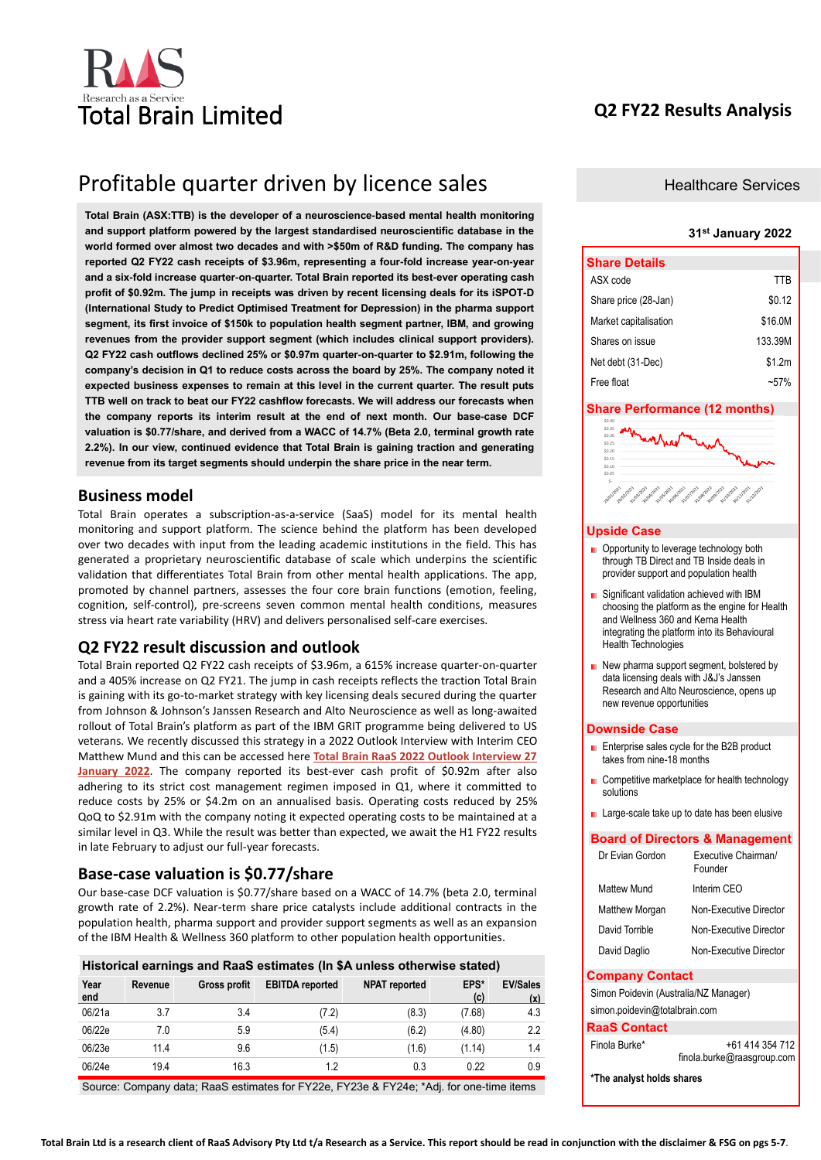

# **Q2 FY22 Results Analysis**

# Profitable quarter driven by licence sales

**Total Brain (ASX:TTB) is the developer of a neuroscience-based mental health monitoring and support platform powered by the largest standardised neuroscientific database in the world formed over almost two decades and with >\$50m of R&D funding. The company has reported Q2 FY22 cash receipts of \$3.96m, representing a four-fold increase year-on-year and a six-fold increase quarter-on-quarter. Total Brain reported its best-ever operating cash profit of \$0.92m. The jump in receipts was driven by recent licensing deals for its iSPOT-D (International Study to Predict Optimised Treatment for Depression) in the pharma support segment, its first invoice of \$150k to population health segment partner, IBM, and growing revenues from the provider support segment (which includes clinical support providers). Q2 FY22 cash outflows declined 25% or \$0.97m quarter-on-quarter to \$2.91m, following the company's decision in Q1 to reduce costs across the board by 25%. The company noted it expected business expenses to remain at this level in the current quarter. The result puts TTB well on track to beat our FY22 cashflow forecasts. We will address our forecasts when the company reports its interim result at the end of next month. Our base-case DCF valuation is \$0.77/share, and derived from a WACC of 14.7% (Beta 2.0, terminal growth rate 2.2%). In our view, continued evidence that Total Brain is gaining traction and generating revenue from its target segments should underpin the share price in the near term.**

## **Business model**

Total Brain operates a subscription-as-a-service (SaaS) model for its mental health monitoring and support platform. The science behind the platform has been developed over two decades with input from the leading academic institutions in the field. This has generated a proprietary neuroscientific database of scale which underpins the scientific validation that differentiates Total Brain from other mental health applications. The app, promoted by channel partners, assesses the four core brain functions (emotion, feeling, cognition, self-control), pre-screens seven common mental health conditions, measures stress via heart rate variability (HRV) and delivers personalised self-care exercises.

### **Q2 FY22 result discussion and outlook**

Total Brain reported Q2 FY22 cash receipts of \$3.96m, a 615% increase quarter-on-quarter and a 405% increase on Q2 FY21. The jump in cash receipts reflects the traction Total Brain is gaining with its go-to-market strategy with key licensing deals secured during the quarter from Johnson & Johnson's Janssen Research and Alto Neuroscience as well as long-awaited rollout of Total Brain's platform as part of the IBM GRIT programme being delivered to US veterans. We recently discussed this strategy in a 2022 Outlook Interview with Interim CEO Matthew Mund and this can be accessed here **[Total Brain RaaS 2022 Outlook Interview 27](https://www.raasgroup.com/?mailpoet_router&endpoint=track&action=click&data=WyIzIiwiYzc0ZGQ4IiwiMzYiLCJhYTAzNTcyY2EwODgiLGZhbHNlXQ)  [January 2022](https://www.raasgroup.com/?mailpoet_router&endpoint=track&action=click&data=WyIzIiwiYzc0ZGQ4IiwiMzYiLCJhYTAzNTcyY2EwODgiLGZhbHNlXQ)**. The company reported its best-ever cash profit of \$0.92m after also adhering to its strict cost management regimen imposed in Q1, where it committed to reduce costs by 25% or \$4.2m on an annualised basis. Operating costs reduced by 25% QoQ to \$2.91m with the company noting it expected operating costs to be maintained at a similar level in Q3. While the result was better than expected, we await the H1 FY22 results in late February to adjust our full-year forecasts.

## **Base-case valuation is \$0.77/share**

Our base-case DCF valuation is \$0.77/share based on a WACC of 14.7% (beta 2.0, terminal growth rate of 2.2%). Near-term share price catalysts include additional contracts in the population health, pharma support and provider support segments as well as an expansion of the IBM Health & Wellness 360 platform to other population health opportunities.

|             |         |              |                        | Historical earnings and RaaS estimates (In \$A unless otherwise stated) |             |                        |
|-------------|---------|--------------|------------------------|-------------------------------------------------------------------------|-------------|------------------------|
| Year<br>end | Revenue | Gross profit | <b>EBITDA</b> reported | <b>NPAT</b> reported                                                    | EPS*<br>(c) | <b>EV/Sales</b><br>(x) |
| 06/21a      | 3.7     | 3.4          | (7.2)                  | (8.3)                                                                   | (7.68)      | 4.3                    |
| 06/22e      | 7.0     | 5.9          | (5.4)                  | (6.2)                                                                   | (4.80)      | 2.2                    |
| 06/23e      | 11.4    | 9.6          | (1.5)                  | (1.6)                                                                   | (1.14)      | 1.4                    |
| 06/24e      | 19.4    | 16.3         | 1.2                    | 0.3                                                                     | 0.22        | 0.9                    |

Source: Company data; RaaS estimates for FY22e, FY23e & FY24e; \*Adj. for one-time items

### Healthcare Services

### **31st January 2022**

| <b>Share Details</b>  |         |
|-----------------------|---------|
| ASX code              | TTR     |
| Share price (28-Jan)  | \$0.12  |
| Market capitalisation | \$16.0M |
| Shares on issue       | 133 39M |
| Net debt (31-Dec)     | \$1.2m  |
| Free float            | $-57$   |

### **Share Performance (12 months)**



### **Upside Case**

- Opportunity to leverage technology both through TB Direct and TB Inside deals in provider support and population health
- Significant validation achieved with IBM choosing the platform as the engine for Health and Wellness 360 and Kerna Health integrating the platform into its Behavioural Health Technologies
- New pharma support segment, bolstered by data licensing deals with J&J's Janssen Research and Alto Neuroscience, opens up new revenue opportunities

### **Downside Case**

- **Enterprise sales cycle for the B2B product** takes from nine-18 months
- Competitive marketplace for health technology solutions
- **Large-scale take up to date has been elusive**

### **Board of Directors & Management**

| Dr Evian Gordon       | Executive Chairman/<br>Founder |
|-----------------------|--------------------------------|
| Mattew Mund           | Interim CFO                    |
| <b>Matthew Morgan</b> | Non-Executive Director         |
| David Torrible        | Non-Executive Director         |
| David Daglio          | Non-Executive Director         |

### **Company Contact**

Simon Poidevin (Australia/NZ Manager) simon.poidevin@totalbrain.com

### **RaaS Contact**

| Finola Burke* | +61 414 354 712            |
|---------------|----------------------------|
|               | finola.burke@raasgroup.com |

**\*The analyst holds shares**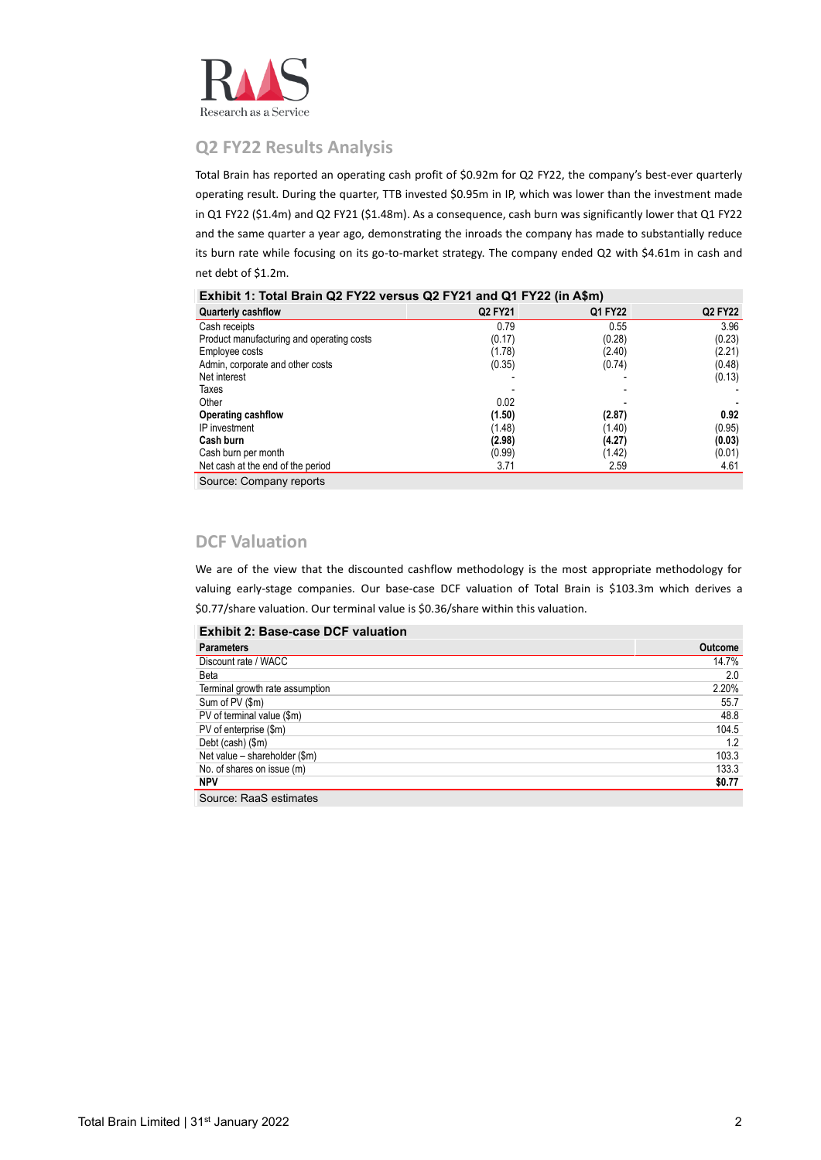

# **Q2 FY22 Results Analysis**

Total Brain has reported an operating cash profit of \$0.92m for Q2 FY22, the company's best-ever quarterly operating result. During the quarter, TTB invested \$0.95m in IP, which was lower than the investment made in Q1 FY22 (\$1.4m) and Q2 FY21 (\$1.48m). As a consequence, cash burn was significantly lower that Q1 FY22 and the same quarter a year ago, demonstrating the inroads the company has made to substantially reduce its burn rate while focusing on its go-to-market strategy. The company ended Q2 with \$4.61m in cash and net debt of \$1.2m.

| Exhibit 1: Total Brain Q2 FY22 versus Q2 FY21 and Q1 FY22 (in A\$m) |  |  |
|---------------------------------------------------------------------|--|--|
|---------------------------------------------------------------------|--|--|

| <b>Quarterly cashflow</b>                 | Q2 FY21 | Q1 FY22 | <b>Q2 FY22</b> |
|-------------------------------------------|---------|---------|----------------|
| Cash receipts                             | 0.79    | 0.55    | 3.96           |
| Product manufacturing and operating costs | (0.17)  | (0.28)  | (0.23)         |
| Employee costs                            | (1.78)  | (2.40)  | (2.21)         |
| Admin, corporate and other costs          | (0.35)  | (0.74)  | (0.48)         |
| Net interest                              |         |         | (0.13)         |
| Taxes                                     |         |         |                |
| Other                                     | 0.02    |         |                |
| <b>Operating cashflow</b>                 | (1.50)  | (2.87)  | 0.92           |
| IP investment                             | (1.48)  | (1.40)  | (0.95)         |
| Cash burn                                 | (2.98)  | (4.27)  | (0.03)         |
| Cash burn per month                       | (0.99)  | (1.42)  | (0.01)         |
| Net cash at the end of the period         | 3.71    | 2.59    | 4.61           |
|                                           |         |         |                |

Source: Company reports

# **DCF Valuation**

We are of the view that the discounted cashflow methodology is the most appropriate methodology for valuing early-stage companies. Our base-case DCF valuation of Total Brain is \$103.3m which derives a \$0.77/share valuation. Our terminal value is \$0.36/share within this valuation.

| <b>Exhibit 2: Base-case DCF valuation</b> |         |
|-------------------------------------------|---------|
| <b>Parameters</b>                         | Outcome |
| Discount rate / WACC                      | 14.7%   |
| Beta                                      | 2.0     |
| Terminal growth rate assumption           | 2.20%   |
| Sum of PV (\$m)                           | 55.7    |
| PV of terminal value (\$m)                | 48.8    |
| PV of enterprise (\$m)                    | 104.5   |
| Debt (cash) (\$m)                         | 1.2     |
| Net value - shareholder (\$m)             | 103.3   |
| No. of shares on issue (m)                | 133.3   |
| <b>NPV</b>                                | \$0.77  |
| Source: RaaS estimates                    |         |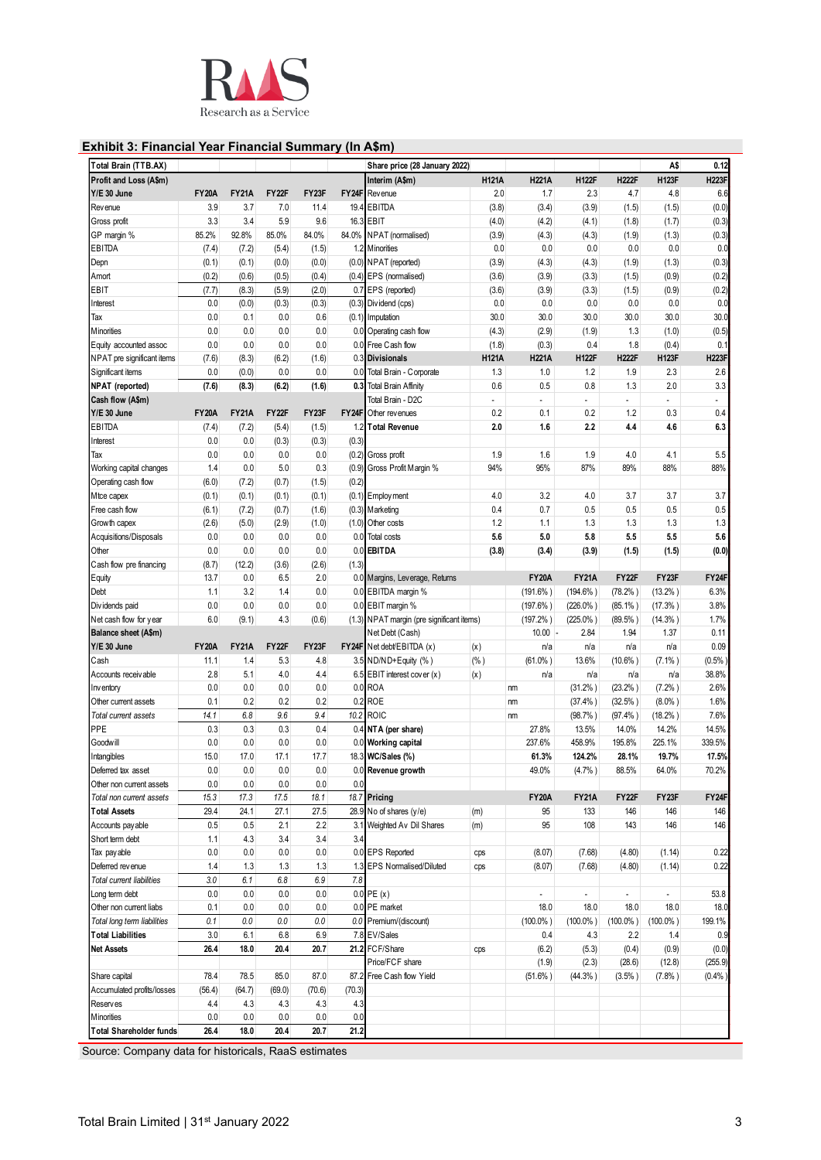

# **Exhibit 3: Financial Year Financial Summary (In A\$m)**

| Total Brain (TTB.AX)        |              |              |         |         |        | Share price (28 January 2022)             |              |                |                             |              | A\$            | 0.12         |
|-----------------------------|--------------|--------------|---------|---------|--------|-------------------------------------------|--------------|----------------|-----------------------------|--------------|----------------|--------------|
| Profit and Loss (A\$m)      |              |              |         |         |        | Interim (A\$m)                            | <b>H121A</b> | <b>H221A</b>   | <b>H122F</b>                | <b>H222F</b> | <b>H123F</b>   | <b>H223F</b> |
| Y/E 30 June                 | <b>FY20A</b> | <b>FY21A</b> | FY22F   | FY23F   |        | FY24F Revenue                             | 2.0          | 1.7            | 2.3                         | 4.7          | 4.8            | 6.6          |
| Revenue                     | 3.9          | 3.7          | 7.0     | 11.4    |        | 19.4 EBITDA                               | (3.8)        | (3.4)          | (3.9)                       | (1.5)        | (1.5)          | (0.0)        |
|                             | 3.3          | 3.4          | 5.9     | 9.6     |        | 16.3 EBIT                                 |              |                |                             |              |                | (0.3)        |
| Gross profit                |              |              |         | 84.0%   |        |                                           | (4.0)        | (4.2)          | (4.1)                       | (1.8)        | (1.7)          |              |
| GP margin %                 | 85.2%        | 92.8%        | 85.0%   |         | 84.0%  | NPAT (normalised)                         | (3.9)        | (4.3)          | (4.3)                       | (1.9)        | (1.3)          | (0.3)        |
| <b>EBITDA</b>               | (7.4)        | (7.2)        | (5.4)   | (1.5)   |        | 1.2 Minorities                            | 0.0          | 0.0            | 0.0                         | 0.0          | 0.0            | 0.0          |
| Depn                        | (0.1)        | (0.1)        | (0.0)   | (0.0)   |        | (0.0) NPAT (reported)                     | (3.9)        | (4.3)          | (4.3)                       | (1.9)        | (1.3)          | (0.3)        |
| Amort                       | (0.2)        | (0.6)        | (0.5)   | (0.4)   |        | (0.4) EPS (normalised)                    | (3.6)        | (3.9)          | (3.3)                       | (1.5)        | (0.9)          | (0.2)        |
| EBIT                        | (7.7)        | (8.3)        | (5.9)   | (2.0)   |        | 0.7 EPS (reported)                        | (3.6)        | (3.9)          | (3.3)                       | (1.5)        | (0.9)          | (0.2)        |
| Interest                    | 0.0          | (0.0)        | (0.3)   | (0.3)   |        | (0.3) Dividend (cps)                      | 0.0          | 0.0            | 0.0                         | 0.0          | 0.0            | 0.0          |
| Tax                         | 0.0          | 0.1          | 0.0     | 0.6     |        | (0.1) Imputation                          | 30.0         | 30.0           | 30.0                        | 30.0         | 30.0           | 30.0         |
| Minorities                  | 0.0          | 0.0          | 0.0     | 0.0     |        | 0.0 Operating cash flow                   | (4.3)        | (2.9)          | (1.9)                       | 1.3          | (1.0)          | (0.5)        |
| Equity accounted assoc      | 0.0          | 0.0          | 0.0     | 0.0     |        | 0.0 Free Cash flow                        | (1.8)        | (0.3)          | 0.4                         | 1.8          | (0.4)          | 0.1          |
| NPAT pre significant items  | (7.6)        | (8.3)        | (6.2)   | (1.6)   |        | 0.3 Divisionals                           | <b>H121A</b> | <b>H221A</b>   | <b>H122F</b>                | <b>H222F</b> | <b>H123F</b>   | <b>H223F</b> |
| Significant items           | 0.0          | (0.0)        | 0.0     | 0.0     | 0.0    | Total Brain - Corporate                   | 1.3          | 1.0            | 1.2                         | 1.9          | 2.3            | 2.6          |
| NPAT (reported)             | (7.6)        | (8.3)        | (6.2)   | (1.6)   |        | 0.3 Total Brain Affinity                  | 0.6          | 0.5            | 0.8                         | 1.3          | 2.0            | 3.3          |
| Cash flow (A\$m)            |              |              |         |         |        | Total Brain - D2C                         |              | $\blacksquare$ | $\overline{\phantom{a}}$    |              | $\blacksquare$ |              |
| Y/E 30 June                 | <b>FY20A</b> | <b>FY21A</b> | FY22F   | FY23F   |        | FY24F Other revenues                      | 0.2          | 0.1            | 0.2                         | 1.2          | 0.3            | 0.4          |
| EBITDA                      |              |              |         |         |        |                                           |              |                |                             |              |                |              |
|                             | (7.4)        | (7.2)        | (5.4)   | (1.5)   |        | 1.2 Total Revenue                         | 2.0          | 1.6            | 2.2                         | 4.4          | 4.6            | 6.3          |
| Interest                    | 0.0          | 0.0          | (0.3)   | (0.3)   | (0.3)  |                                           |              |                |                             |              |                |              |
| Tax                         | 0.0          | 0.0          | 0.0     | 0.0     |        | (0.2) Gross profit                        | 1.9          | 1.6            | 1.9                         | 4.0          | 4.1            | 5.5          |
| Working capital changes     | 1.4          | 0.0          | 5.0     | 0.3     |        | (0.9) Gross Profit Margin %               | 94%          | 95%            | 87%                         | 89%          | 88%            | 88%          |
| Operating cash flow         | (6.0)        | (7.2)        | (0.7)   | (1.5)   | (0.2)  |                                           |              |                |                             |              |                |              |
| Mtce capex                  | (0.1)        | (0.1)        | (0.1)   | (0.1)   |        | $(0.1)$ Employment                        | 4.0          | 3.2            | 4.0                         | 3.7          | 3.7            | 3.7          |
| Free cash flow              | (6.1)        | (7.2)        | (0.7)   | (1.6)   |        | $(0.3)$ Marketing                         | 0.4          | 0.7            | 0.5                         | 0.5          | 0.5            | 0.5          |
| Growth capex                | (2.6)        | (5.0)        | (2.9)   | (1.0)   |        | (1.0) Other costs                         | 1.2          | 1.1            | 1.3                         | 1.3          | 1.3            | 1.3          |
| Acquisitions/Disposals      | 0.0          | 0.0          | 0.0     | 0.0     |        | 0.0 Total costs                           | 5.6          | 5.0            | 5.8                         | 5.5          | 5.5            | 5.6          |
| Other                       | 0.0          | 0.0          | 0.0     | 0.0     |        | 0.0 EBITDA                                | (3.8)        | (3.4)          | (3.9)                       | (1.5)        | (1.5)          | (0.0)        |
| Cash flow pre financing     | (8.7)        | (12.2)       | (3.6)   | (2.6)   | (1.3)  |                                           |              |                |                             |              |                |              |
| Equity                      | 13.7         | 0.0          | 6.5     | 2.0     |        | 0.0 Margins, Leverage, Returns            |              | <b>FY20A</b>   | <b>FY21A</b>                | FY22F        | FY23F          | FY24F        |
| Debt                        | 1.1          | 3.2          | 1.4     | 0.0     |        | 0.0 EBITDA margin %                       |              |                | $(194.6\%)$                 | (78.2%)      | $(13.2\%)$     | 6.3%         |
|                             |              |              |         |         |        |                                           |              | $(191.6\%)$    |                             |              |                |              |
| Dividends paid              | 0.0          | 0.0          | 0.0     | 0.0     |        | 0.0 EBIT margin %                         |              | $(197.6\%)$    | $(226.0\%)$                 | $(85.1\%)$   | $(17.3\%)$     | 3.8%         |
| Net cash flow for year      | 6.0          | (9.1)        | 4.3     | (0.6)   |        | (1.3) NPAT margin (pre significant items) |              | $(197.2\%)$    | $(225.0\%)$                 | $(89.5\%)$   | $(14.3\%)$     | 1.7%         |
| Balance sheet (A\$m)        |              |              |         |         |        | Net Debt (Cash)                           |              | $10.00 -$      | 2.84                        | 1.94         | 1.37           | 0.11         |
| Y/E 30 June                 | <b>FY20A</b> | <b>FY21A</b> | FY22F   | FY23F   |        | FY24F Net debt/EBITDA (x)                 | (x)          | n/a            | n/a                         | n/a          | n/a            | 0.09         |
| Cash                        | 11.1         | 1.4          | 5.3     | 4.8     |        | 3.5 ND/ND+Equity (%)                      | (% )         | $(61.0\%)$     | 13.6%                       | $(10.6\%)$   | $(7.1\%)$      | (0.5%        |
| Accounts receivable         | 2.8          | 5.1          | 4.0     | 4.4     |        | 6.5 EBIT interest cover (x)               | (x)          | n/a            | n/a                         | n/a          | n/a            | 38.8%        |
| Inventory                   | 0.0          | 0.0          | 0.0     | 0.0     |        | 0.0 ROA                                   |              | nm             | (31.2%)                     | (23.2% )     | (7.2% )        | 2.6%         |
| Other current assets        | 0.1          | 0.2          | 0.2     | 0.2     |        | 0.2 ROE                                   |              | nm             | (37.4% )                    | $(32.5\%)$   | $(8.0\%$ )     | 1.6%         |
| Total current assets        | 14.1         | 6.8          | 9.6     | 9.4     |        | 10.2 ROIC                                 |              | nm             | (98.7%                      | (97.4% )     | $(18.2\%)$     | 7.6%         |
| PPE                         | 0.3          | 0.3          | 0.3     | 0.4     |        | 0.4 NTA (per share)                       |              | 27.8%          | 13.5%                       | 14.0%        | 14.2%          | 14.5%        |
| Goodwill                    | 0.0          | 0.0          | 0.0     | 0.0     |        | 0.0 Working capital                       |              | 237.6%         | 458.9%                      | 195.8%       | 225.1%         | 339.5%       |
| Intangibles                 | 15.0         | 11.0         | 11.1    | 11.1    |        | 18.3 WC/Sales (%)                         |              | 61.3%          | 124.2%                      | 28.1%        | 19.7%          | 17.5%        |
| Deferred tax asset          | 0.0          | 0.0          | 0.0     | 0.0     |        |                                           |              | 49.0%          | (4.7%)                      | 88.5%        | 64.0%          | 70.2%        |
|                             |              |              |         |         |        | 0.0 Revenue growth                        |              |                |                             |              |                |              |
| Other non current assets    | 0.0          | 0.0          | 0.0     | 0.0     | 0.0    |                                           |              |                |                             |              |                |              |
| Total non current assets    | 15.3         | 17.3         | 17.5    | 18.1    |        | 18.7 Pricing                              |              | <b>FY20A</b>   | <b>FY21A</b>                | FY22F        | FY23F          | FY24F        |
| <b>Total Assets</b>         | 29.4         | 24.1         | 27.1    | 27.5    |        | 28.9 No of shares $(y/e)$                 | (m)          | 95             | 133                         | 146          | 146            | 146          |
| Accounts pay able           | 0.5          | 0.5          | 2.1     | 2.2     | 3.1    | Weighted Av Dil Shares                    | (m)          | 95             | 108                         | 143          | 146            | 146          |
| Short term debt             | 1.1          | 4.3          | 3.4     | 3.4     | 3.4    |                                           |              |                |                             |              |                |              |
| Tax payable                 | 0.0          | 0.0          | 0.0     | 0.0     |        | 0.0 EPS Reported                          | cps          | (8.07)         | (7.68)                      | (4.80)       | (1.14)         | 0.22         |
| Deferred rev enue           | 1.4          | 1.3          | 1.3     | 1.3     |        | 1.3 EPS Normalised/Diluted                | cps          | (8.07)         | (7.68)                      | (4.80)       | (1.14)         | 0.22         |
| Total current liabilities   | 3.0          | 6.1          | 6.8     | 6.9     | 7.8    |                                           |              |                |                             |              |                |              |
| Long term debt              | 0.0          | 0.0          | 0.0     | 0.0     |        | $0.0$ PE $(x)$                            |              |                | $\mathcal{L}^{\mathcal{A}}$ |              | ÷.             | 53.8         |
| Other non current liabs     | 0.1          | 0.0          | 0.0     | 0.0     |        | 0.0 PE market                             |              | 18.0           | 18.0                        | 18.0         | 18.0           | 18.0         |
| Total long term liabilities | 0.1          | 0.0          | $0.0\,$ | $0.0\,$ |        | 0.0 Premium/(discount)                    |              | $(100.0\%)$    | $(100.0\%)$                 | $(100.0\%)$  | $(100.0\%)$    | 199.1%       |
| <b>Total Liabilities</b>    | 3.0          | 6.1          | 6.8     | 6.9     |        | 7.8 EV/Sales                              |              | 0.4            | 4.3                         | 2.2          | 1.4            | 0.9          |
|                             |              |              |         |         |        | 21.2 FCF/Share                            |              |                |                             |              |                |              |
| <b>Net Assets</b>           | 26.4         | 18.0         | 20.4    | 20.7    |        |                                           | cps          | (6.2)          | (5.3)                       | (0.4)        | (0.9)          | (0.0)        |
|                             |              |              |         |         |        | Price/FCF share                           |              | (1.9)          | (2.3)                       | (28.6)       | (12.8)         | (255.9)      |
| Share capital               | 78.4         | 78.5         | 85.0    | 87.0    |        | 87.2 Free Cash flow Yield                 |              | $(51.6\%)$     | $(44.3\%)$                  | $(3.5\%)$    | $(7.8\%)$      | (0.4% )      |
| Accumulated profits/losses  | (56.4)       | (64.7)       | (69.0)  | (70.6)  | (70.3) |                                           |              |                |                             |              |                |              |
| Reserves                    | 4.4          | 4.3          | 4.3     | 4.3     | 4.3    |                                           |              |                |                             |              |                |              |
|                             |              |              | 0.0     | 0.0     | 0.0    |                                           |              |                |                             |              |                |              |
| Minorities                  | 0.0          | 0.0          |         |         |        |                                           |              |                |                             |              |                |              |

Source: Company data for historicals, RaaS estimates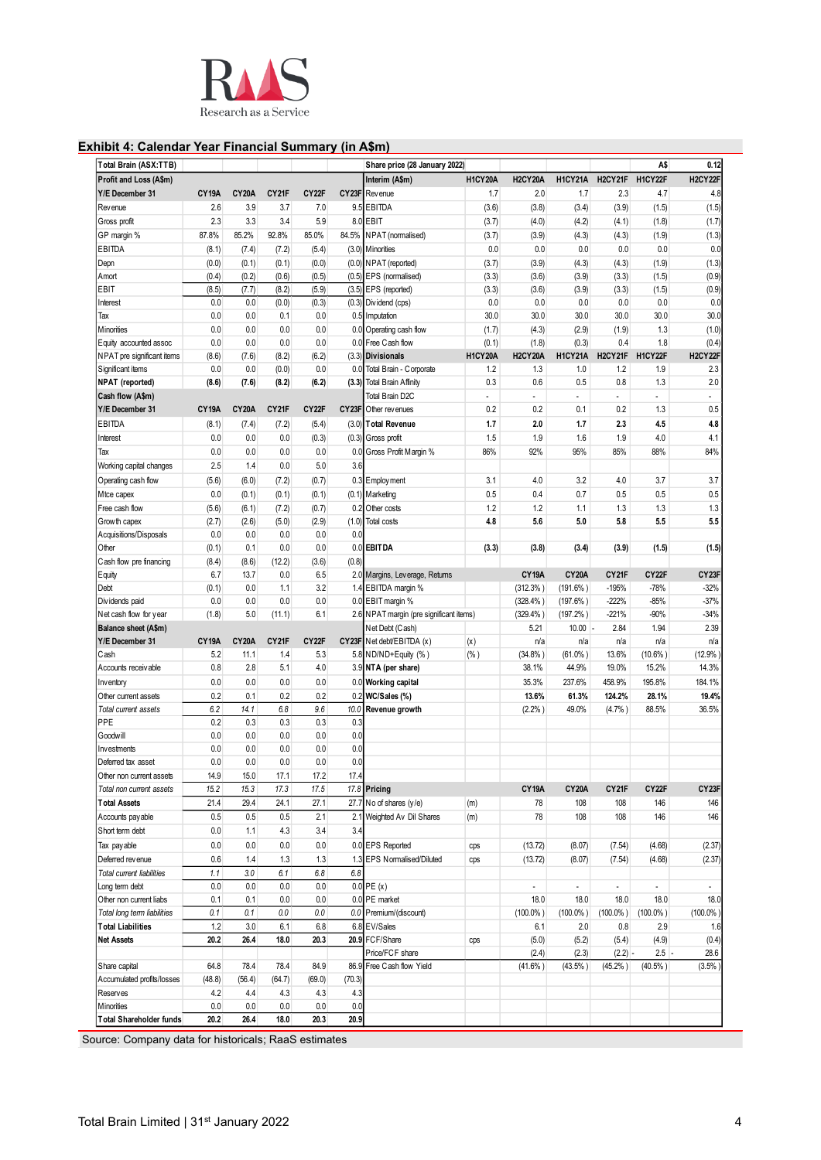

## **Exhibit 4: Calendar Year Financial Summary (in A\$m)**

| Profit and Loss (A\$m)      |                    |                    |                |              |        | Share price (28 January 2022)                   |                |                       |                |                | A\$            | 0.12               |
|-----------------------------|--------------------|--------------------|----------------|--------------|--------|-------------------------------------------------|----------------|-----------------------|----------------|----------------|----------------|--------------------|
|                             |                    |                    |                |              |        | Interim (A\$m)                                  | <b>H1CY20A</b> | <b>H2CY20A</b>        | <b>H1CY21A</b> | H2CY21F        | H1CY22F        | H2CY22F            |
| Y/E December 31             | CY19A              | <b>CY20A</b>       | CY21F          | CY22F        |        | <b>CY23F</b> Revenue                            | 1.7            | 2.0                   | 1.7            | 2.3            | 4.7            | 4.8                |
| Revenue                     | 2.6                | 3.9                | 3.7            | 7.0          |        | 9.5 EBITDA                                      | (3.6)          | (3.8)                 | (3.4)          | (3.9)          | (1.5)          | (1.5)              |
| Gross profit                | 2.3                | 3.3                | 3.4            | 5.9          |        | 8.0 EBIT                                        | (3.7)          | (4.0)                 | (4.2)          | (4.1)          | (1.8)          | (1.7)              |
| GP margin %                 | 87.8%              | 85.2%              | 92.8%          | 85.0%        | 84.5%  | NPAT (normalised)                               | (3.7)          | (3.9)                 | (4.3)          | (4.3)          | (1.9)          | (1.3)              |
| EBITDA                      | (8.1)              | (7.4)              | (7.2)          |              |        |                                                 | 0.0            | 0.0                   | 0.0            | 0.0            | 0.0            | 0.0                |
|                             |                    |                    |                | (5.4)        |        | (3.0) Minorities                                |                |                       |                |                |                | (1.3)              |
| Depn                        | (0.0)              | (0.1)              | (0.1)          | (0.0)        |        | (0.0) NPAT (reported)<br>(0.5) EPS (normalised) | (3.7)          | (3.9)                 | (4.3)          | (4.3)          | (1.9)          |                    |
| Amort                       | (0.4)              | (0.2)              | (0.6)          | (0.5)        |        |                                                 | (3.3)          | (3.6)                 | (3.9)          | (3.3)          | (1.5)          | (0.9)              |
| EBIT                        | (8.5)<br>0.0       | (7.7)<br>0.0       | (8.2)<br>(0.0) | (5.9)        |        | (3.5) EPS (reported)                            | (3.3)<br>0.0   | (3.6)<br>0.0          | (3.9)          | (3.3)          | (1.5)<br>0.0   | (0.9)<br>0.0       |
| Interest<br>Tax             | 0.0                | 0.0                | 0.1            | (0.3)<br>0.0 |        | (0.3) Dividend (cps)                            | 30.0           | 30.0                  | 0.0<br>30.0    | 0.0<br>30.0    | 30.0           | 30.0               |
| Minorities                  | 0.0                | 0.0                | 0.0            | 0.0          |        | 0.5 Imputation                                  | (1.7)          | (4.3)                 | (2.9)          |                | 1.3            | (1.0)              |
|                             | 0.0                | 0.0                | 0.0            | 0.0          |        | 0.0 Operating cash flow                         |                |                       |                | (1.9)<br>0.4   | 1.8            |                    |
| Equity accounted assoc      |                    |                    |                |              |        | 0.0 Free Cash flow                              | (0.1)          | (1.8)                 | (0.3)          |                |                | (0.4)              |
| NPAT pre significant items  | (8.6)<br>0.0       | (7.6)<br>0.0       | (8.2)          | (6.2)<br>0.0 |        | (3.3) Divisionals                               | <b>H1CY20A</b> | <b>H2CY20A</b><br>1.3 | H1CY21A        | H2CY21F        | H1CY22F<br>1.9 | H2CY22F<br>2.3     |
| Significant items           |                    |                    | (0.0)          |              |        | 0.0 Total Brain - Corporate                     | 1.2            |                       | 1.0            | 1.2            |                |                    |
| NPAT (reported)             | (8.6)              | (7.6)              | (8.2)          | (6.2)        |        | (3.3) Total Brain Affinity                      | 0.3            | 0.6                   | 0.5            | 0.8            | 1.3            | 2.0                |
| Cash flow (A\$m)            |                    |                    |                |              |        | Total Brain D2C                                 | ÷,             | ä,                    | ÷,             | $\blacksquare$ | $\blacksquare$ | ä,                 |
| Y/E December 31             | <b>CY19A</b>       | CY <sub>20</sub> A | CY21F          | CY22F        |        | CY23F Other revenues                            | 0.2            | 0.2                   | 0.1            | 0.2            | 1.3            | 0.5                |
| EBITDA                      | (8.1)              | (7.4)              | (7.2)          | (5.4)        |        | (3.0) Total Revenue                             | 1.7            | 2.0                   | 1.7            | 2.3            | 4.5            | 4.8                |
| Interest                    | 0.0                | 0.0                | 0.0            | (0.3)        |        | (0.3) Gross profit                              | 1.5            | 1.9                   | 1.6            | 1.9            | 4.0            | 4.1                |
| Tax                         | 0.0                | 0.0                | 0.0            | 0.0          |        | 0.0 Gross Profit Margin %                       | 86%            | 92%                   | 95%            | 85%            | 88%            | 84%                |
| Working capital changes     | 2.5                | 1.4                | 0.0            | 5.0          | 3.6    |                                                 |                |                       |                |                |                |                    |
| Operating cash flow         | (5.6)              | (6.0)              | (7.2)          | (0.7)        |        | 0.3 Employment                                  | 3.1            | 4.0                   | 3.2            | 4.0            | 3.7            | 3.7                |
| Mtce capex                  | 0.0                | (0.1)              | (0.1)          | (0.1)        |        | (0.1) Marketing                                 | 0.5            | 0.4                   | 0.7            | 0.5            | 0.5            | 0.5                |
| Free cash flow              | (5.6)              | (6.1)              | (7.2)          | (0.7)        |        | 0.2 Other costs                                 | 1.2            | 1.2                   | 1.1            | 1.3            | 1.3            | 1.3                |
| Growth capex                | (2.7)              | (2.6)              | (5.0)          | (2.9)        | (1.0)  | <b>Total costs</b>                              | 4.8            | 5.6                   | 5.0            | 5.8            | 5.5            | 5.5                |
| Acquisitions/Disposals      | 0.0                | 0.0                | 0.0            | 0.0          | 0.0    |                                                 |                |                       |                |                |                |                    |
| Other                       | (0.1)              | 0.1                | 0.0            | 0.0          | 0.0    | <b>EBITDA</b>                                   | (3.3)          | (3.8)                 | (3.4)          | (3.9)          | (1.5)          | (1.5)              |
| Cash flow pre financing     | (8.4)              | (8.6)              | (12.2)         | (3.6)        | (0.8)  |                                                 |                |                       |                |                |                |                    |
| Equity                      | 6.7                | 13.7               | 0.0            | 6.5          |        | 2.0 Margins, Leverage, Returns                  |                | <b>CY19A</b>          | <b>CY20A</b>   | CY21F          | CY22F          | CY <sub>23</sub> F |
| Debt                        | (0.1)              | 0.0                | 1.1            | 3.2          |        | 1.4 EBITDA margin %                             |                | (312.3% )             | $(191.6\%)$    | $-195%$        | $-78%$         | $-32%$             |
| Dividends paid              | 0.0                | 0.0                | 0.0            | 0.0          |        | 0.0 EBIT margin %                               |                | $(328.4\%)$           | $(197.6\%)$    | $-222%$        | $-85%$         | $-37%$             |
| Net cash flow for year      | (1.8)              | 5.0                | (11.1)         | 6.1          |        | 2.6 NPAT margin (pre significant items)         |                | (329.4% )             | $(197.2\%)$    | $-221%$        | $-90%$         | $-34%$             |
| Balance sheet (A\$m)        |                    |                    |                |              |        | Net Debt (Cash)                                 |                | 5.21                  | 10.00          | 2.84           | 1.94           | 2.39               |
| Y/E December 31             | CY <sub>19</sub> A | <b>CY20A</b>       | CY21F          | CY22F        |        | CY23F Net debt/EBITDA (x)                       | (x)            | n/a                   | n/a            | n/a            | n/a            | n/a                |
| Cash                        | 5.2                | 11.1               | 1.4            | 5.3          |        | 5.8 ND/ND+Equity (%)                            | $(\% )$        | (34.8%)               | $(61.0\%$ )    | 13.6%          | $(10.6\%)$     | (12.9%             |
| Accounts receivable         | 0.8                | 2.8                | 5.1            | 4.0          |        | 3.9 NTA (per share)                             |                | 38.1%                 | 44.9%          | 19.0%          | 15.2%          | 14.3%              |
| Inventory                   | 0.0                | 0.0                | 0.0            | 0.0          |        | 0.0 Working capital                             |                | 35.3%                 | 237.6%         | 458.9%         | 195.8%         | 184.1%             |
| Other current assets        | 0.2                | 0.1                | 0.2            | 0.2          | 0.2    | WC/Sales (%)                                    |                | 13.6%                 | 61.3%          | 124.2%         | 28.1%          | 19.4%              |
| Total current assets        | 6.2                | 14.1               | 6.8            | 9.6          | 10.0   | Revenue growth                                  |                | (2.2% )               | 49.0%          | (4.7%          | 88.5%          | 36.5%              |
| PPE                         | 0.2                | 0.3                | 0.3            | 0.3          | 0.3    |                                                 |                |                       |                |                |                |                    |
| Goodwill                    | 0.0                | 0.0                | 0.0            | 0.0          | 0.0    |                                                 |                |                       |                |                |                |                    |
| Investments                 | 0.0                | 0.0                | 0.0            | 0.0          | 0.0    |                                                 |                |                       |                |                |                |                    |
| Deferred tax asset          | 0.0                | $0.0\,$            | 0.0            | 0.0          | 0.0    |                                                 |                |                       |                |                |                |                    |
| Other non current assets    | 14.9               | 15.0               | 17.1           | 17.2         | 17.4   |                                                 |                |                       |                |                |                |                    |
| Total non current assets    | 15.2               | 15.3               | 17.3           | 17.5         |        | 17.8 Pricing                                    |                | <b>CY19A</b>          | <b>CY20A</b>   | CY21F          | CY22F          | CY <sub>23F</sub>  |
| <b>Total Assets</b>         | 21.4               | 29.4               | 24.1           | 27.1         |        | 27.7 No of shares (y/e)                         | (m)            | 78                    | 108            | 108            | 146            | 146                |
| Accounts pay able           | 0.5                | 0.5                | 0.5            | 2.1          |        | 2.1 Weighted Av Dil Shares                      |                | 78                    | 108            | 108            | 146            | 146                |
|                             |                    |                    |                |              |        |                                                 | (m)            |                       |                |                |                |                    |
| Short term debt             | 0.0                | 1.1                | 4.3            | 3.4          | 3.4    |                                                 |                |                       |                |                |                |                    |
| Tax payable                 | 0.0                | 0.0                | 0.0            | 0.0          |        | 0.0 EPS Reported                                | cps            | (13.72)               | (8.07)         | (7.54)         | (4.68)         | (2.37)             |
| Deferred revenue            | 0.6                | 1.4                | 1.3            | 1.3          | 1.3    | <b>EPS Normalised/Diluted</b>                   | cps            | (13.72)               | (8.07)         | (7.54)         | (4.68)         | (2.37)             |
| Total current liabilities   | 1.1                | 3.0                | 6.1            | 6.8          | 6.8    |                                                 |                |                       |                |                |                |                    |
| Long term debt              | 0.0                | 0.0                | 0.0            | 0.0          |        | $0.0$ PE $(x)$                                  |                | ä.                    | ÷.             | $\mathbf{r}$   | ÷.             | $\sim$             |
| Other non current liabs     | 0.1                | 0.1                | 0.0            | 0.0          |        | 0.0 PE market                                   |                | 18.0                  | 18.0           | 18.0           | 18.0           | 18.0               |
| Total long term liabilities | 0.1                | 0.1                | 0.0            | 0.0          | 0.0    | Premium/(discount)                              |                | $(100.0\%)$           | $(100.0\%)$    | $(100.0\%)$    | $(100.0\%)$    | $(100.0\%)$        |
| <b>Total Liabilities</b>    | 1.2                | 3.0                | 6.1            | 6.8          |        | 6.8 EV/Sales                                    |                | 6.1                   | 2.0            | 0.8            | 2.9            | 1.6                |
| <b>Net Assets</b>           | 20.2               | 26.4               | 18.0           | 20.3         |        | 20.9 FCF/Share                                  | cps            | (5.0)                 | (5.2)          | (5.4)          | (4.9)          | (0.4)              |
|                             |                    |                    |                |              |        | Price/FCF share                                 |                | (2.4)                 | (2.3)          | $(2.2)$ -      | $2.5 -$        | 28.6               |
| Share capital               | 64.8               | 78.4               | 78.4           | 84.9         | 86.9   | Free Cash flow Yield                            |                | $(41.6\%)$            | $(43.5\%)$     | (45.2%)        | $(40.5\%$ )    | (3.5%              |
| Accumulated profits/losses  | (48.8)             | (56.4)             | (64.7)         | (69.0)       | (70.3) |                                                 |                |                       |                |                |                |                    |
| Reserves                    | 4.2                | 4.4                | 4.3            | 4.3          | 4.3    |                                                 |                |                       |                |                |                |                    |
| Minorities                  | 0.0                | 0.0                | 0.0            | 0.0          | 0.0    |                                                 |                |                       |                |                |                |                    |
| Total Shareholder funds     | 20.2               | 26.4               | 18.0           | 20.3         | 20.9   |                                                 |                |                       |                |                |                |                    |

Source: Company data for historicals; RaaS estimates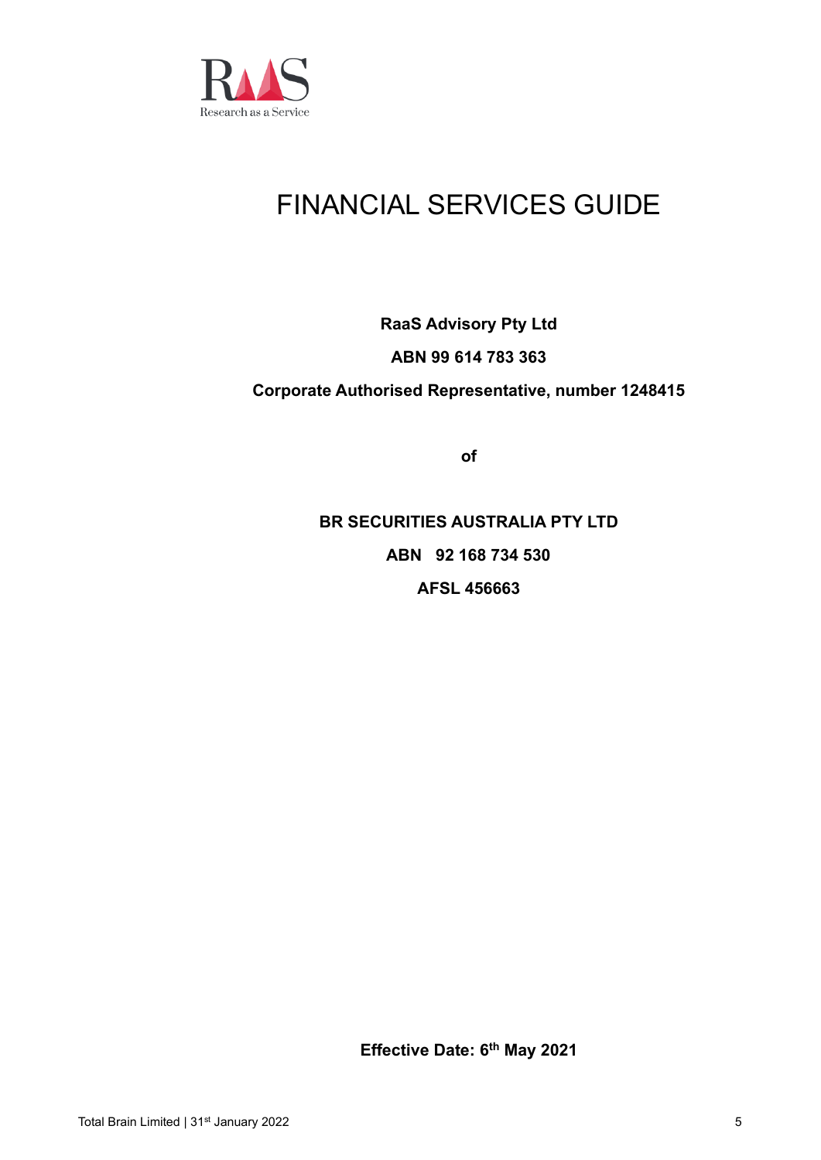

# FINANCIAL SERVICES GUIDE

# **RaaS Advisory Pty Ltd ABN 99 614 783 363 Corporate Authorised Representative, number 1248415**

**of**

**BR SECURITIES AUSTRALIA PTY LTD ABN 92 168 734 530 AFSL 456663**

**Effective Date: 6 th May 2021**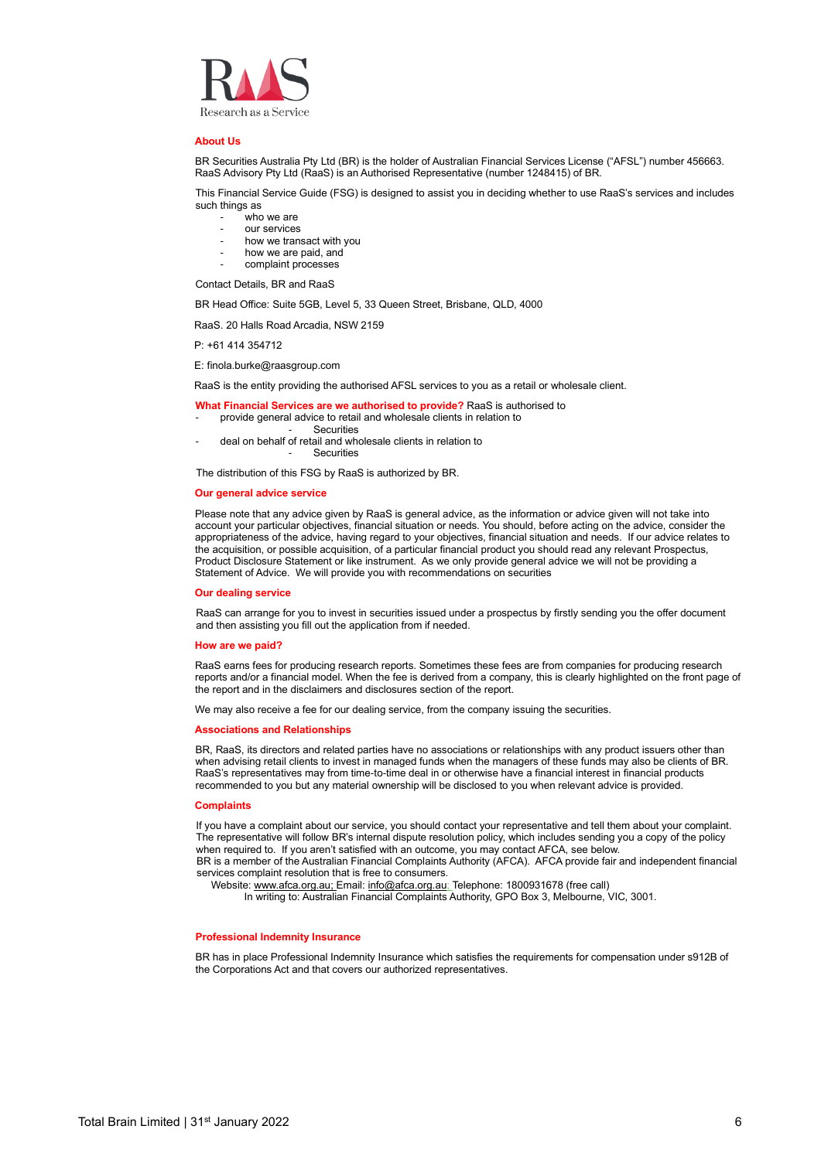

### **About Us**

BR Securities Australia Pty Ltd (BR) is the holder of Australian Financial Services License ("AFSL") number 456663. RaaS Advisory Pty Ltd (RaaS) is an Authorised Representative (number 1248415) of BR.

This Financial Service Guide (FSG) is designed to assist you in deciding whether to use RaaS's services and includes such things as

- who we are
- our services
- how we transact with you
- how we are paid, and
- complaint processes

Contact Details, BR and RaaS

BR Head Office: Suite 5GB, Level 5, 33 Queen Street, Brisbane, QLD, 4000

RaaS. 20 Halls Road Arcadia, NSW 2159

P: +61 414 354712

E: finola.burke@raasgroup.com

RaaS is the entity providing the authorised AFSL services to you as a retail or wholesale client.

- **What Financial Services are we authorised to provide?** RaaS is authorised to
- provide general advice to retail and wholesale clients in relation to
	- **Securities**
- deal on behalf of retail and wholesale clients in relation to **Securities**

The distribution of this FSG by RaaS is authorized by BR.

#### **Our general advice service**

Please note that any advice given by RaaS is general advice, as the information or advice given will not take into account your particular objectives, financial situation or needs. You should, before acting on the advice, consider the appropriateness of the advice, having regard to your objectives, financial situation and needs. If our advice relates to the acquisition, or possible acquisition, of a particular financial product you should read any relevant Prospectus, Product Disclosure Statement or like instrument. As we only provide general advice we will not be providing a Statement of Advice. We will provide you with recommendations on securities

#### **Our dealing service**

RaaS can arrange for you to invest in securities issued under a prospectus by firstly sending you the offer document and then assisting you fill out the application from if needed.

#### **How are we paid?**

RaaS earns fees for producing research reports. Sometimes these fees are from companies for producing research reports and/or a financial model. When the fee is derived from a company, this is clearly highlighted on the front page of the report and in the disclaimers and disclosures section of the report.

We may also receive a fee for our dealing service, from the company issuing the securities.

### **Associations and Relationships**

BR, RaaS, its directors and related parties have no associations or relationships with any product issuers other than when advising retail clients to invest in managed funds when the managers of these funds may also be clients of BR. RaaS's representatives may from time-to-time deal in or otherwise have a financial interest in financial products recommended to you but any material ownership will be disclosed to you when relevant advice is provided.

#### **Complaints**

If you have a complaint about our service, you should contact your representative and tell them about your complaint. The representative will follow BR's internal dispute resolution policy, which includes sending you a copy of the policy when required to. If you aren't satisfied with an outcome, you may contact AFCA, see below.

BR is a member of the Australian Financial Complaints Authority (AFCA). AFCA provide fair and independent financial services complaint resolution that is free to consumers.

Website[: www.afca.org.au;](http://www.afca.org.au/) Email: [info@afca.org.au;](mailto:info@afca.org.au) Telephone: 1800931678 (free call)

In writing to: Australian Financial Complaints Authority, GPO Box 3, Melbourne, VIC, 3001.

### **Professional Indemnity Insurance**

BR has in place Professional Indemnity Insurance which satisfies the requirements for compensation under s912B of the Corporations Act and that covers our authorized representatives.